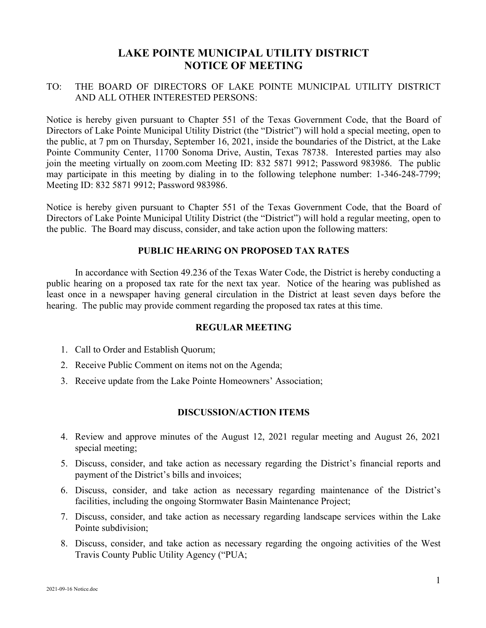# **LAKE POINTE MUNICIPAL UTILITY DISTRICT NOTICE OF MEETING**

## TO: THE BOARD OF DIRECTORS OF LAKE POINTE MUNICIPAL UTILITY DISTRICT AND ALL OTHER INTERESTED PERSONS:

Notice is hereby given pursuant to Chapter 551 of the Texas Government Code, that the Board of Directors of Lake Pointe Municipal Utility District (the "District") will hold a special meeting, open to the public, at 7 pm on Thursday, September 16, 2021, inside the boundaries of the District, at the Lake Pointe Community Center, 11700 Sonoma Drive, Austin, Texas 78738. Interested parties may also join the meeting virtually on zoom.com Meeting ID: 832 5871 9912; Password 983986. The public may participate in this meeting by dialing in to the following telephone number: 1-346-248-7799; Meeting ID: 832 5871 9912; Password 983986.

Notice is hereby given pursuant to Chapter 551 of the Texas Government Code, that the Board of Directors of Lake Pointe Municipal Utility District (the "District") will hold a regular meeting, open to the public. The Board may discuss, consider, and take action upon the following matters:

#### **PUBLIC HEARING ON PROPOSED TAX RATES**

In accordance with Section 49.236 of the Texas Water Code, the District is hereby conducting a public hearing on a proposed tax rate for the next tax year. Notice of the hearing was published as least once in a newspaper having general circulation in the District at least seven days before the hearing. The public may provide comment regarding the proposed tax rates at this time.

#### **REGULAR MEETING**

- 1. Call to Order and Establish Quorum;
- 2. Receive Public Comment on items not on the Agenda;
- 3. Receive update from the Lake Pointe Homeowners' Association;

#### **DISCUSSION/ACTION ITEMS**

- 4. Review and approve minutes of the August 12, 2021 regular meeting and August 26, 2021 special meeting;
- 5. Discuss, consider, and take action as necessary regarding the District's financial reports and payment of the District's bills and invoices;
- 6. Discuss, consider, and take action as necessary regarding maintenance of the District's facilities, including the ongoing Stormwater Basin Maintenance Project;
- 7. Discuss, consider, and take action as necessary regarding landscape services within the Lake Pointe subdivision;
- 8. Discuss, consider, and take action as necessary regarding the ongoing activities of the West Travis County Public Utility Agency ("PUA;